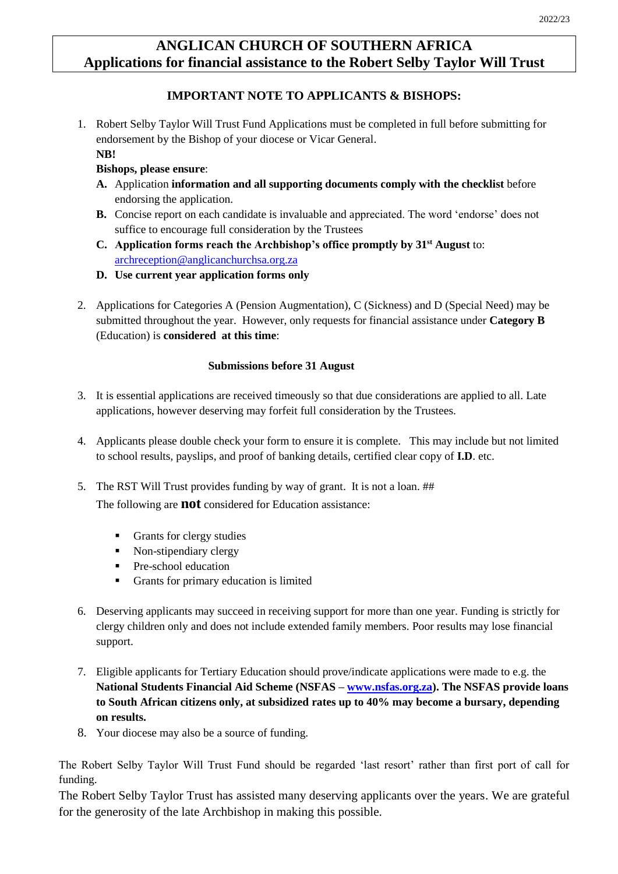# **ANGLICAN CHURCH OF SOUTHERN AFRICA Applications for financial assistance to the Robert Selby Taylor Will Trust**

## **IMPORTANT NOTE TO APPLICANTS & BISHOPS:**

1. Robert Selby Taylor Will Trust Fund Applications must be completed in full before submitting for endorsement by the Bishop of your diocese or Vicar General.

# **NB!**

### **Bishops, please ensure**:

- **A.** Application **information and all supporting documents comply with the checklist** before endorsing the application.
- **B.** Concise report on each candidate is invaluable and appreciated. The word 'endorse' does not suffice to encourage full consideration by the Trustees
- **C. Application forms reach the Archbishop's office promptly by 31st August** to: [archreception@anglicanchurchsa.org.za](mailto:archreception@anglicanchurchsa.org.za)
- **D. Use current year application forms only**
- 2. Applications for Categories A (Pension Augmentation), C (Sickness) and D (Special Need) may be submitted throughout the year. However, only requests for financial assistance under **Category B** (Education) is **considered at this time**:

#### **Submissions before 31 August**

- 3. It is essential applications are received timeously so that due considerations are applied to all. Late applications, however deserving may forfeit full consideration by the Trustees.
- 4. Applicants please double check your form to ensure it is complete. This may include but not limited to school results, payslips, and proof of banking details, certified clear copy of **I.D**. etc.
- 5. The RST Will Trust provides funding by way of grant. It is not a loan. ## The following are **not** considered for Education assistance:
	- Grants for clergy studies
	- Non-stipendiary clergy
	- Pre-school education
	- Grants for primary education is limited
- 6. Deserving applicants may succeed in receiving support for more than one year. Funding is strictly for clergy children only and does not include extended family members. Poor results may lose financial support.
- 7. Eligible applicants for Tertiary Education should prove/indicate applications were made to e.g. the **National Students Financial Aid Scheme (NSFAS – [www.nsfas.org.za\)](http://www.nsfas.org.za/). The NSFAS provide loans to South African citizens only, at subsidized rates up to 40% may become a bursary, depending on results.**
- 8. Your diocese may also be a source of funding.

The Robert Selby Taylor Will Trust Fund should be regarded 'last resort' rather than first port of call for funding.

The Robert Selby Taylor Trust has assisted many deserving applicants over the years. We are grateful for the generosity of the late Archbishop in making this possible.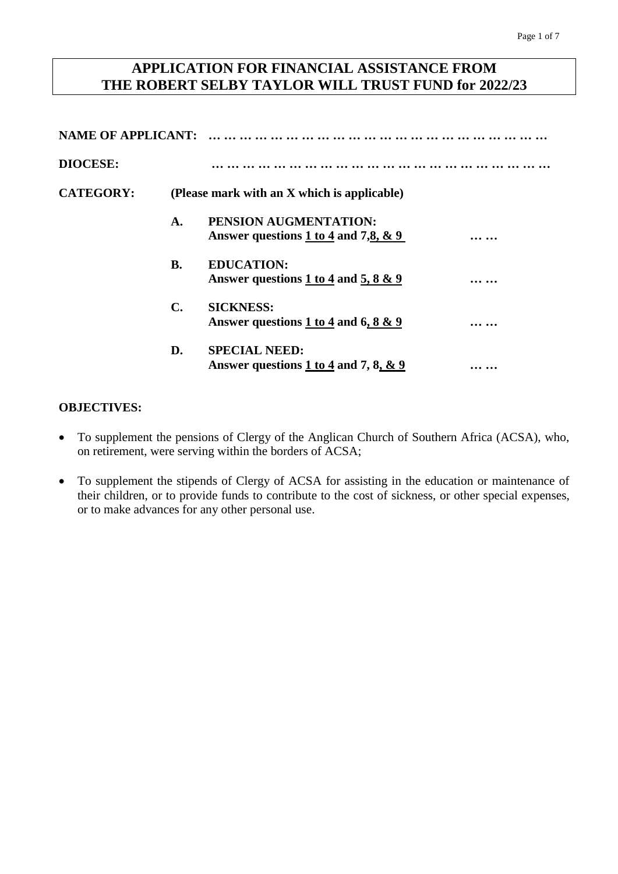# **APPLICATION FOR FINANCIAL ASSISTANCE FROM THE ROBERT SELBY TAYLOR WILL TRUST FUND for 2022/23**

| <b>NAME OF APPLICANT:</b> |                |                                                                             |  |  |  |
|---------------------------|----------------|-----------------------------------------------------------------------------|--|--|--|
| <b>DIOCESE:</b>           |                |                                                                             |  |  |  |
| <b>CATEGORY:</b>          |                | (Please mark with an X which is applicable)                                 |  |  |  |
|                           | A.             | PENSION AUGMENTATION:<br>Answer questions $1 \text{ to } 4$ and $7,8, 8, 9$ |  |  |  |
|                           | <b>B.</b>      | <b>EDUCATION:</b><br>Answer questions 1 to 4 and 5, 8 $\&$ 9                |  |  |  |
|                           | $\mathbf{C}$ . | <b>SICKNESS:</b><br>Answer questions 1 to 4 and 6, 8 $\&$ 9                 |  |  |  |
|                           | D.             | <b>SPECIAL NEED:</b><br>Answer questions 1 to 4 and 7, 8, $\&$ 9            |  |  |  |

### **OBJECTIVES:**

- To supplement the pensions of Clergy of the Anglican Church of Southern Africa (ACSA), who, on retirement, were serving within the borders of ACSA;
- To supplement the stipends of Clergy of ACSA for assisting in the education or maintenance of their children, or to provide funds to contribute to the cost of sickness, or other special expenses, or to make advances for any other personal use.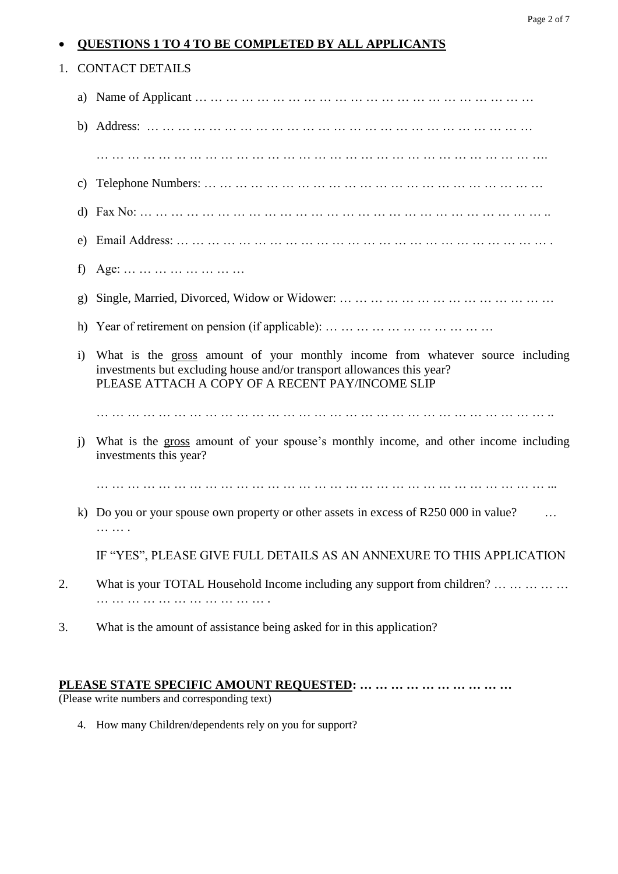|    |                   | 1. CONTACT DETAILS                                                                                                                                                                                           |  |  |  |  |  |
|----|-------------------|--------------------------------------------------------------------------------------------------------------------------------------------------------------------------------------------------------------|--|--|--|--|--|
|    |                   |                                                                                                                                                                                                              |  |  |  |  |  |
|    |                   |                                                                                                                                                                                                              |  |  |  |  |  |
|    |                   |                                                                                                                                                                                                              |  |  |  |  |  |
|    | C)                |                                                                                                                                                                                                              |  |  |  |  |  |
|    | d)                |                                                                                                                                                                                                              |  |  |  |  |  |
|    | e)                |                                                                                                                                                                                                              |  |  |  |  |  |
|    | f)                | Age:                                                                                                                                                                                                         |  |  |  |  |  |
|    | g)                |                                                                                                                                                                                                              |  |  |  |  |  |
|    |                   |                                                                                                                                                                                                              |  |  |  |  |  |
|    | $\left( i\right)$ | What is the gross amount of your monthly income from whatever source including<br>investments but excluding house and/or transport allowances this year?<br>PLEASE ATTACH A COPY OF A RECENT PAY/INCOME SLIP |  |  |  |  |  |
|    |                   |                                                                                                                                                                                                              |  |  |  |  |  |
|    | $\mathbf{i}$      | What is the gross amount of your spouse's monthly income, and other income including<br>investments this year?                                                                                               |  |  |  |  |  |
|    |                   |                                                                                                                                                                                                              |  |  |  |  |  |
|    |                   | k) Do you or your spouse own property or other assets in excess of R250 000 in value?<br>$\cdots$<br>.                                                                                                       |  |  |  |  |  |
|    |                   | IF "YES", PLEASE GIVE FULL DETAILS AS AN ANNEXURE TO THIS APPLICATION                                                                                                                                        |  |  |  |  |  |
| 2. |                   | What is your TOTAL Household Income including any support from children?                                                                                                                                     |  |  |  |  |  |
| 3. |                   | What is the amount of assistance being asked for in this application?                                                                                                                                        |  |  |  |  |  |

**QUESTIONS 1 TO 4 TO BE COMPLETED BY ALL APPLICANTS**

## **PLEASE STATE SPECIFIC AMOUNT REQUESTED: … … … … … … … … … …**

(Please write numbers and corresponding text)

4. How many Children/dependents rely on you for support?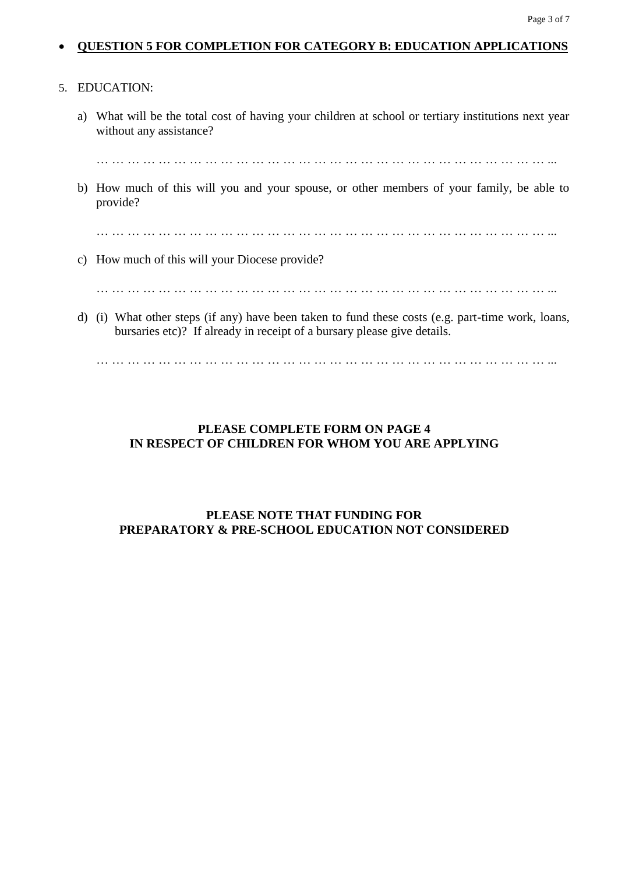#### **QUESTION 5 FOR COMPLETION FOR CATEGORY B: EDUCATION APPLICATIONS**

#### 5. EDUCATION:

a) What will be the total cost of having your children at school or tertiary institutions next year without any assistance?

… … … … … … … … … … … … … … … … … … … … … … … … … … … … … ...

b) How much of this will you and your spouse, or other members of your family, be able to provide?

… … … … … … … … … … … … … … … … … … … … … … … … … … … … … ...

c) How much of this will your Diocese provide?

… … … … … … … … … … … … … … … … … … … … … … … … … … … … … ...

d) (i) What other steps (if any) have been taken to fund these costs (e.g. part-time work, loans, bursaries etc)? If already in receipt of a bursary please give details.

… … … … … … … … … … … … … … … … … … … … … … … … … … … … … ...

### **PLEASE COMPLETE FORM ON PAGE 4 IN RESPECT OF CHILDREN FOR WHOM YOU ARE APPLYING**

### **PLEASE NOTE THAT FUNDING FOR PREPARATORY & PRE-SCHOOL EDUCATION NOT CONSIDERED**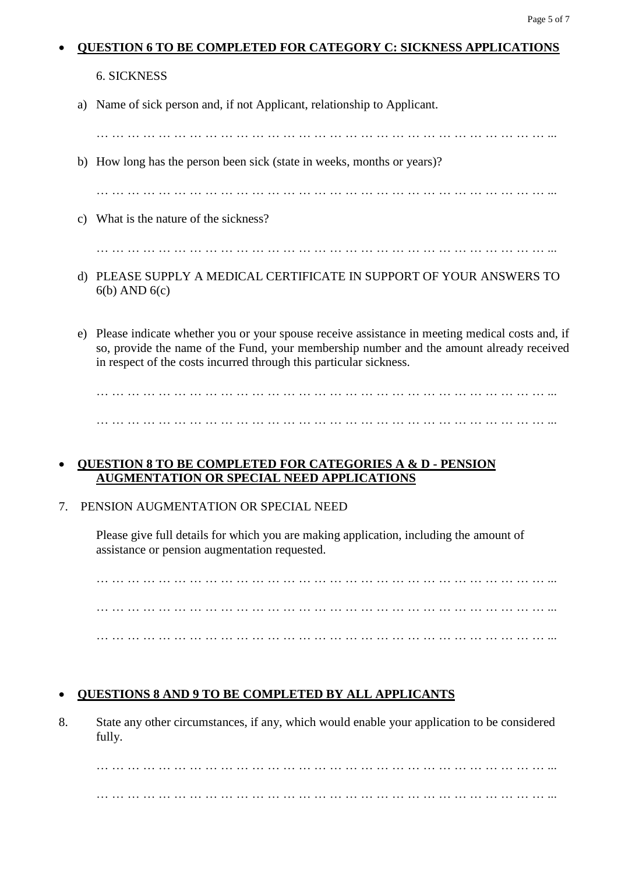#### **QUESTION 6 TO BE COMPLETED FOR CATEGORY C: SICKNESS APPLICATIONS**

## 6. SICKNESS

a) Name of sick person and, if not Applicant, relationship to Applicant.

… … … … … … … … … … … … … … … … … … … … … … … … … … … … … ... b) How long has the person been sick (state in weeks, months or years)? … … … … … … … … … … … … … … … … … … … … … … … … … … … … … ... c) What is the nature of the sickness? … … … … … … … … … … … … … … … … … … … … … … … … … … … … … ...

- d) PLEASE SUPPLY A MEDICAL CERTIFICATE IN SUPPORT OF YOUR ANSWERS TO 6(b) AND 6(c)
- e) Please indicate whether you or your spouse receive assistance in meeting medical costs and, if so, provide the name of the Fund, your membership number and the amount already received in respect of the costs incurred through this particular sickness.

… … … … … … … … … … … … … … … … … … … … … … … … … … … … … ... … … … … … … … … … … … … … … … … … … … … … … … … … … … … … ...

## **QUESTION 8 TO BE COMPLETED FOR CATEGORIES A & D - PENSION AUGMENTATION OR SPECIAL NEED APPLICATIONS**

# 7. PENSION AUGMENTATION OR SPECIAL NEED

Please give full details for which you are making application, including the amount of assistance or pension augmentation requested.

… … … … … … … … … … … … … … … … … … … … … … … … … … … … … ... … … … … … … … … … … … … … … … … … … … … … … … … … … … … … ... … … … … … … … … … … … … … … … … … … … … … … … … … … … … … ...

# **QUESTIONS 8 AND 9 TO BE COMPLETED BY ALL APPLICANTS**

8. State any other circumstances, if any, which would enable your application to be considered fully.

… … … … … … … … … … … … … … … … … … … … … … … … … … … … … ... … … … … … … … … … … … … … … … … … … … … … … … … … … … … … ...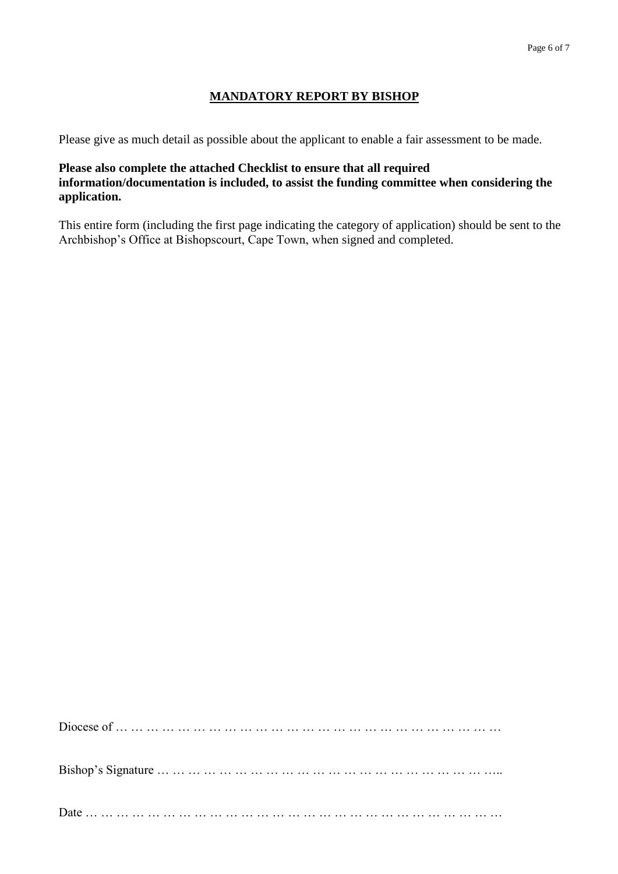## **MANDATORY REPORT BY BISHOP**

Please give as much detail as possible about the applicant to enable a fair assessment to be made.

### **Please also complete the attached Checklist to ensure that all required information/documentation is included, to assist the funding committee when considering the application.**

This entire form (including the first page indicating the category of application) should be sent to the Archbishop's Office at Bishopscourt, Cape Town, when signed and completed.